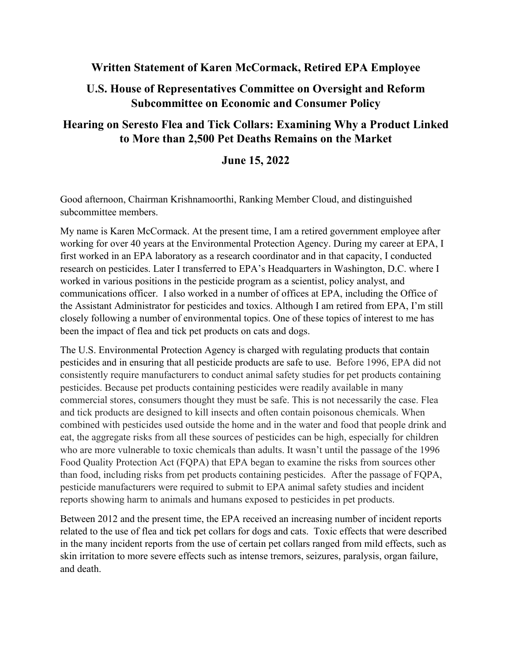## **Written Statement of Karen McCormack, Retired EPA Employee**

## **U.S. House of Representatives Committee on Oversight and Reform Subcommittee on Economic and Consumer Policy**

## **Hearing on Seresto Flea and Tick Collars: Examining Why a Product Linked to More than 2,500 Pet Deaths Remains on the Market**

## **June 15, 2022**

Good afternoon, Chairman Krishnamoorthi, Ranking Member Cloud, and distinguished subcommittee members.

My name is Karen McCormack. At the present time, I am a retired government employee after working for over 40 years at the Environmental Protection Agency. During my career at EPA, I first worked in an EPA laboratory as a research coordinator and in that capacity, I conducted research on pesticides. Later I transferred to EPA's Headquarters in Washington, D.C. where I worked in various positions in the pesticide program as a scientist, policy analyst, and communications officer. I also worked in a number of offices at EPA, including the Office of the Assistant Administrator for pesticides and toxics. Although I am retired from EPA, I'm still closely following a number of environmental topics. One of these topics of interest to me has been the impact of flea and tick pet products on cats and dogs.

The U.S. Environmental Protection Agency is charged with regulating products that contain pesticides and in ensuring that all pesticide products are safe to use. Before 1996, EPA did not consistently require manufacturers to conduct animal safety studies for pet products containing pesticides. Because pet products containing pesticides were readily available in many commercial stores, consumers thought they must be safe. This is not necessarily the case. Flea and tick products are designed to kill insects and often contain poisonous chemicals. When combined with pesticides used outside the home and in the water and food that people drink and eat, the aggregate risks from all these sources of pesticides can be high, especially for children who are more vulnerable to toxic chemicals than adults. It wasn't until the passage of the 1996 Food Quality Protection Act (FQPA) that EPA began to examine the risks from sources other than food, including risks from pet products containing pesticides. After the passage of FQPA, pesticide manufacturers were required to submit to EPA animal safety studies and incident reports showing harm to animals and humans exposed to pesticides in pet products.

Between 2012 and the present time, the EPA received an increasing number of incident reports related to the use of flea and tick pet collars for dogs and cats. Toxic effects that were described in the many incident reports from the use of certain pet collars ranged from mild effects, such as skin irritation to more severe effects such as intense tremors, seizures, paralysis, organ failure, and death.